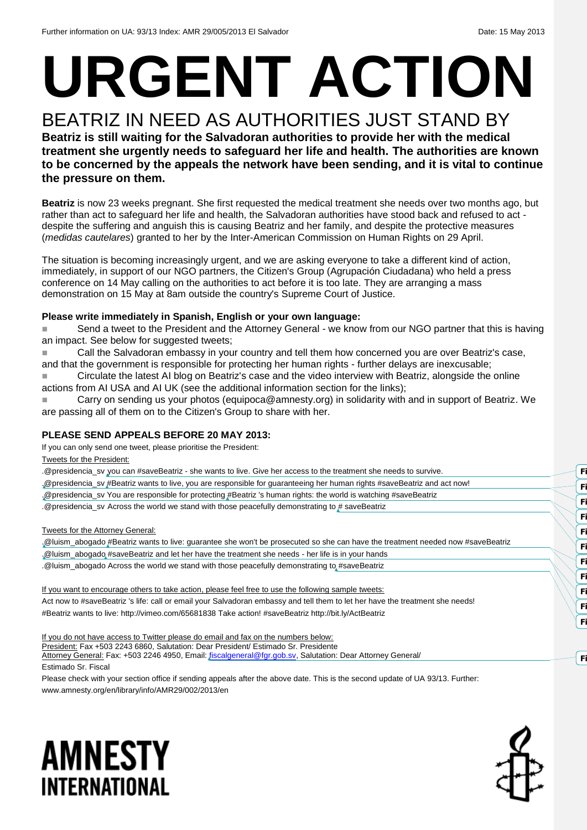# **URGENT ACTION**

# BEATRIZ IN NEED AS AUTHORITIES JUST STAND BY

**Beatriz is still waiting for the Salvadoran authorities to provide her with the medical treatment she urgently needs to safeguard her life and health. The authorities are known to be concerned by the appeals the network have been sending, and it is vital to continue the pressure on them.**

**Beatriz** is now 23 weeks pregnant. She first requested the medical treatment she needs over two months ago, but rather than act to safeguard her life and health, the Salvadoran authorities have stood back and refused to act despite the suffering and anguish this is causing Beatriz and her family, and despite the protective measures (*medidas cautelares*) granted to her by the Inter-American Commission on Human Rights on 29 April.

The situation is becoming increasingly urgent, and we are asking everyone to take a different kind of action, immediately, in support of our NGO partners, the Citizen's Group (Agrupación Ciudadana) who held a press conference on 14 May calling on the authorities to act before it is too late. They are arranging a mass demonstration on 15 May at 8am outside the country's Supreme Court of Justice.

### **Please write immediately in Spanish, English or your own language:**

■ Send a tweet to the President and the Attorney General - we know from our NGO partner that this is having an impact. See below for suggested tweets:

 Call the Salvadoran embassy in your country and tell them how concerned you are over Beatriz's case, and that the government is responsible for protecting her human rights - further delays are inexcusable; Circulate the latest AI blog on Beatriz's case and the video interview with Beatriz, alongside the online

actions from AI USA and AI UK (see the additional information section for the links);

■■■■ Carry on sending us your photos (equipoca@amnesty.org) in solidarity with and in support of Beatriz. We are passing all of them on to the Citizen's Group to share with her.

### **PLEASE SEND APPEALS BEFORE 20 MAY 2013:**

If you can only send one tweet, please prioritise the President:

Tweets for the President:

| .@presidencia_sv you can #saveBeatriz - she wants to live. Give her access to the treatment she needs to survive.               |    |
|---------------------------------------------------------------------------------------------------------------------------------|----|
| "@presidencia_sv #Beatriz wants to live, you are responsible for guaranteeing her human rights #saveBeatriz and act now!        |    |
| Opresidencia_sv You are responsible for protecting #Beatriz 's human rights: the world is watching #saveBeatriz                 |    |
| @presidencia_sv Across the world we stand with those peacefully demonstrating to # saveBeatriz                                  |    |
|                                                                                                                                 |    |
| Tweets for the Attorney General:                                                                                                |    |
| ,@luism_abogado #Beatriz wants to live: guarantee she won't be prosecuted so she can have the treatment needed now #saveBeatriz |    |
| .@luism_abogado #saveBeatriz and let her have the treatment she needs - her life is in your hands                               |    |
| .@luism_abogado Across the world we stand with those peacefully demonstrating to #saveBeatriz                                   |    |
|                                                                                                                                 |    |
| If you want to encourage others to take action, please feel free to use the following sample tweets:                            |    |
| Act now to #saveBeatriz 's life: call or email your Salvadoran embassy and tell them to let her have the treatment she needs!   | Fi |
| #Beatriz wants to live: http://vimeo.com/65681838 Take action! #saveBeatriz http://bit.ly/ActBeatriz                            |    |
|                                                                                                                                 |    |
|                                                                                                                                 |    |

If you do not have access to Twitter please do email and fax on the numbers below:

President: Fax +503 2243 6860, Salutation: Dear President/ Estimado Sr. Presidente

Attorney General: Fax: +503 2246 4950, Email[: fiscalgeneral@fgr.gob.sv,](mailto:fiscalgeneral@fgr.gob.sv) Salutation: Dear Attorney General/ Estimado Sr. Fiscal

Please check with your section office if sending appeals after the above date. This is the second update of UA 93/13. Further: www.amnesty.org/en/library/info/AMR29/002/2013/en





**Field Code Changed**